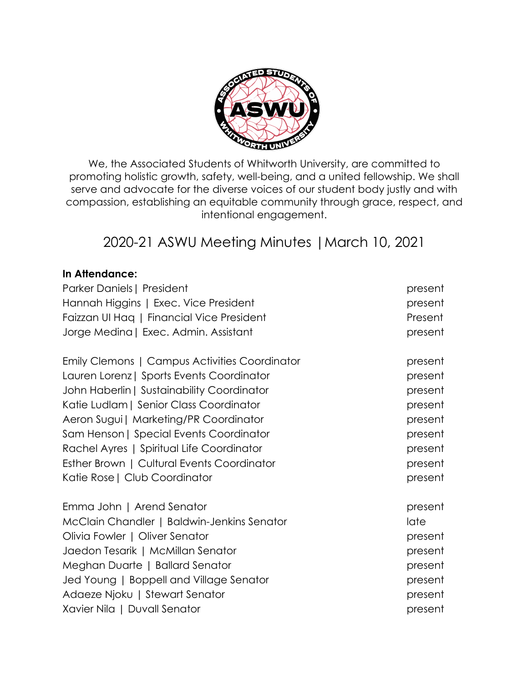

We, the Associated Students of Whitworth University, are committed to promoting holistic growth, safety, well-being, and a united fellowship. We shall serve and advocate for the diverse voices of our student body justly and with compassion, establishing an equitable community through grace, respect, and intentional engagement.

# 2020-21 ASWU Meeting Minutes |March 10, 2021

#### **In Attendance:**

| Parker Daniels   President                    | present |
|-----------------------------------------------|---------|
| Hannah Higgins   Exec. Vice President         | present |
| Faizzan UI Hag   Financial Vice President     | Present |
| Jorge Medina   Exec. Admin. Assistant         | present |
| Emily Clemons   Campus Activities Coordinator | present |
| Lauren Lorenz   Sports Events Coordinator     | present |
| John Haberlin   Sustainability Coordinator    | present |
| Katie Ludlam   Senior Class Coordinator       | present |
| Aeron Sugui   Marketing/PR Coordinator        | present |
| Sam Henson   Special Events Coordinator       | present |
| Rachel Ayres   Spiritual Life Coordinator     | present |
| Esther Brown   Cultural Events Coordinator    | present |
| Katie Rose   Club Coordinator                 | present |
| Emma John   Arend Senator                     | present |
| McClain Chandler   Baldwin-Jenkins Senator    | late    |
| Olivia Fowler   Oliver Senator                | present |
| Jaedon Tesarik   McMillan Senator             | present |
| Meghan Duarte   Ballard Senator               | present |
| Jed Young   Boppell and Village Senator       | present |
| Adaeze Njoku   Stewart Senator                | present |
| Xavier Nila   Duvall Senator                  | present |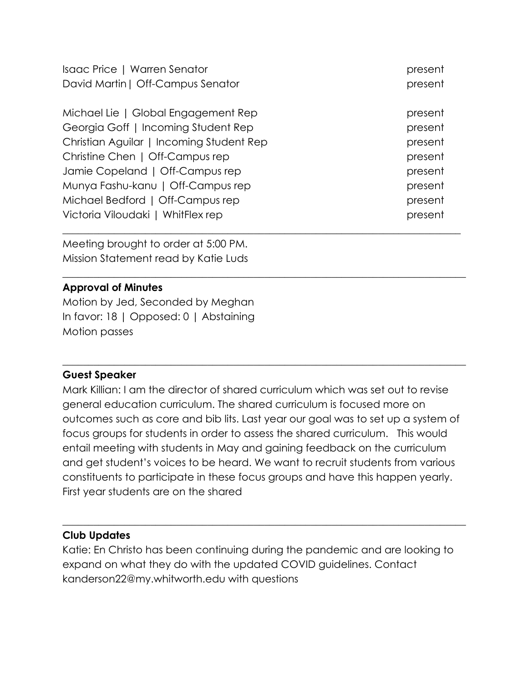| Isaac Price   Warren Senator             | present |
|------------------------------------------|---------|
| David Martin   Off-Campus Senator        | present |
| Michael Lie   Global Engagement Rep      | present |
| Georgia Goff   Incoming Student Rep      | present |
| Christian Aguilar   Incoming Student Rep | present |
| Christine Chen   Off-Campus rep          | present |
| Jamie Copeland   Off-Campus rep          | present |
| Munya Fashu-kanu   Off-Campus rep        | present |
| Michael Bedford   Off-Campus rep         | present |
| Victoria Viloudaki   WhitFlex rep        | present |

\_\_\_\_\_\_\_\_\_\_\_\_\_\_\_\_\_\_\_\_\_\_\_\_\_\_\_\_\_\_\_\_\_\_\_\_\_\_\_\_\_\_\_\_\_\_\_\_\_\_\_\_\_\_\_\_\_\_\_\_\_\_\_\_\_\_\_\_\_\_\_\_\_\_\_\_\_\_

 $\_$  , and the set of the set of the set of the set of the set of the set of the set of the set of the set of the set of the set of the set of the set of the set of the set of the set of the set of the set of the set of th

Meeting brought to order at 5:00 PM. Mission Statement read by Katie Luds

## **Approval of Minutes**

Motion by Jed, Seconded by Meghan In favor: 18 | Opposed: 0 | Abstaining Motion passes

#### **Guest Speaker**

Mark Killian: I am the director of shared curriculum which was set out to revise general education curriculum. The shared curriculum is focused more on outcomes such as core and bib lits. Last year our goal was to set up a system of focus groups for students in order to assess the shared curriculum. This would entail meeting with students in May and gaining feedback on the curriculum and get student's voices to be heard. We want to recruit students from various constituents to participate in these focus groups and have this happen yearly. First year students are on the shared

# **Club Updates**

Katie: En Christo has been continuing during the pandemic and are looking to expand on what they do with the updated COVID guidelines. Contact kanderson22@my.whitworth.edu with questions

 $\_$  , and the set of the set of the set of the set of the set of the set of the set of the set of the set of the set of the set of the set of the set of the set of the set of the set of the set of the set of the set of th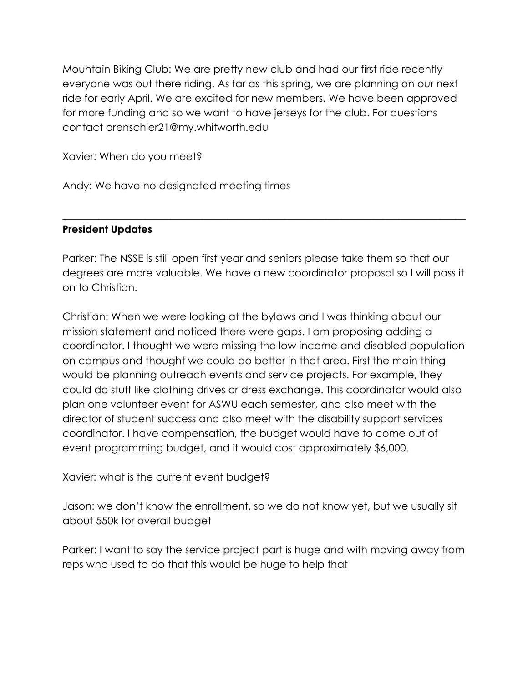Mountain Biking Club: We are pretty new club and had our first ride recently everyone was out there riding. As far as this spring, we are planning on our next ride for early April. We are excited for new members. We have been approved for more funding and so we want to have jerseys for the club. For questions contact arenschler21@my.whitworth.edu

Xavier: When do you meet?

Andy: We have no designated meeting times

# **President Updates**

Parker: The NSSE is still open first year and seniors please take them so that our degrees are more valuable. We have a new coordinator proposal so I will pass it on to Christian.

 $\_$  , and the set of the set of the set of the set of the set of the set of the set of the set of the set of the set of the set of the set of the set of the set of the set of the set of the set of the set of the set of th

Christian: When we were looking at the bylaws and I was thinking about our mission statement and noticed there were gaps. I am proposing adding a coordinator. I thought we were missing the low income and disabled population on campus and thought we could do better in that area. First the main thing would be planning outreach events and service projects. For example, they could do stuff like clothing drives or dress exchange. This coordinator would also plan one volunteer event for ASWU each semester, and also meet with the director of student success and also meet with the disability support services coordinator. I have compensation, the budget would have to come out of event programming budget, and it would cost approximately \$6,000.

Xavier: what is the current event budget?

Jason: we don't know the enrollment, so we do not know yet, but we usually sit about 550k for overall budget

Parker: I want to say the service project part is huge and with moving away from reps who used to do that this would be huge to help that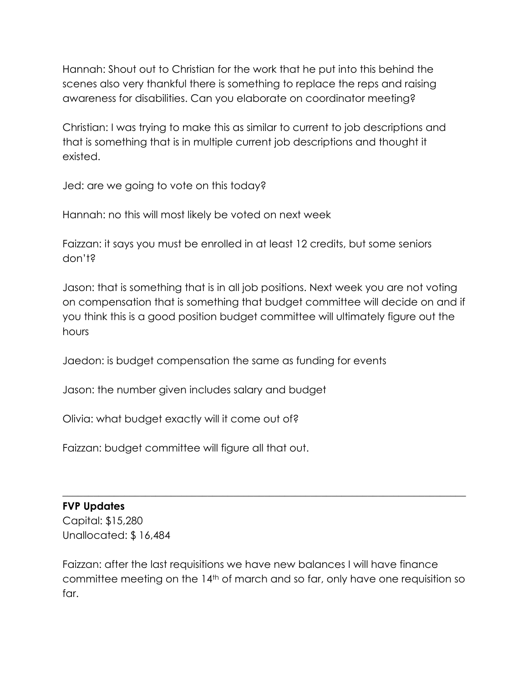Hannah: Shout out to Christian for the work that he put into this behind the scenes also very thankful there is something to replace the reps and raising awareness for disabilities. Can you elaborate on coordinator meeting?

Christian: I was trying to make this as similar to current to job descriptions and that is something that is in multiple current job descriptions and thought it existed.

Jed: are we going to vote on this today?

Hannah: no this will most likely be voted on next week

Faizzan: it says you must be enrolled in at least 12 credits, but some seniors don't?

Jason: that is something that is in all job positions. Next week you are not voting on compensation that is something that budget committee will decide on and if you think this is a good position budget committee will ultimately figure out the hours

Jaedon: is budget compensation the same as funding for events

Jason: the number given includes salary and budget

Olivia: what budget exactly will it come out of?

Faizzan: budget committee will figure all that out.

#### **FVP Updates**

Capital: \$15,280 Unallocated: \$ 16,484

Faizzan: after the last requisitions we have new balances I will have finance committee meeting on the 14th of march and so far, only have one requisition so far.

 $\_$  , and the set of the set of the set of the set of the set of the set of the set of the set of the set of the set of the set of the set of the set of the set of the set of the set of the set of the set of the set of th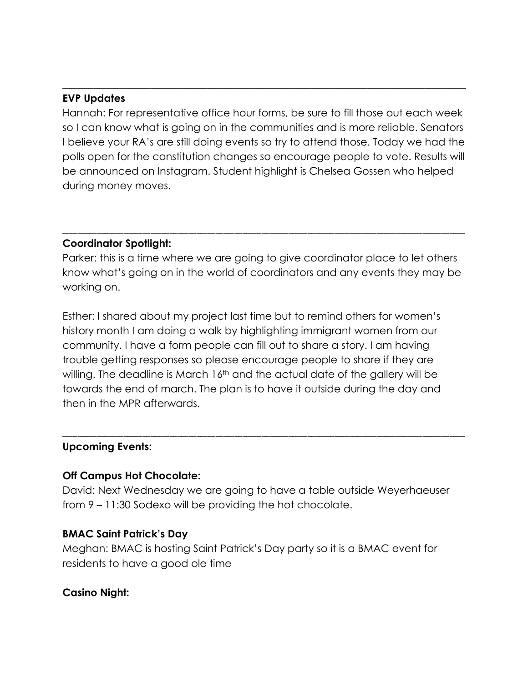#### **EVP Updates**

Hannah: For representative office hour forms, be sure to fill those out each week so I can know what is going on in the communities and is more reliable. Senators I believe your RA's are still doing events so try to attend those. Today we had the polls open for the constitution changes so encourage people to vote. Results will be announced on Instagram. Student highlight is Chelsea Gossen who helped during money moves.

\_\_\_\_\_\_\_\_\_\_\_\_\_\_\_\_\_\_\_\_\_\_\_\_\_\_\_\_\_\_\_\_\_\_\_\_\_\_\_\_\_\_\_\_\_\_\_\_\_\_\_\_\_\_\_\_\_\_\_\_\_\_\_\_\_\_\_\_\_\_\_\_\_\_\_\_\_\_

#### **Coordinator Spotlight:**

Parker: this is a time where we are going to give coordinator place to let others know what's going on in the world of coordinators and any events they may be working on.

\_\_\_\_\_\_\_\_\_\_\_\_\_\_\_\_\_\_\_\_\_\_\_\_\_\_\_\_\_\_\_\_\_\_\_\_\_\_\_\_\_\_\_\_\_\_\_\_\_\_\_\_\_\_\_\_\_\_\_\_\_\_\_\_\_\_\_\_\_\_\_\_\_\_\_\_\_\_\_\_\_\_\_\_\_\_\_\_\_\_\_\_\_\_\_\_\_\_\_\_\_\_\_\_\_

Esther: I shared about my project last time but to remind others for women's history month I am doing a walk by highlighting immigrant women from our community. I have a form people can fill out to share a story. I am having trouble getting responses so please encourage people to share if they are willing. The deadline is March 16<sup>th</sup> and the actual date of the gallery will be towards the end of march. The plan is to have it outside during the day and then in the MPR afterwards.

#### **Upcoming Events:**

#### **Off Campus Hot Chocolate:**

David: Next Wednesday we are going to have a table outside Weyerhaeuser from 9 – 11:30 Sodexo will be providing the hot chocolate.

\_\_\_\_\_\_\_\_\_\_\_\_\_\_\_\_\_\_\_\_\_\_\_\_\_\_\_\_\_\_\_\_\_\_\_\_\_\_\_\_\_\_\_\_\_\_\_\_\_\_\_\_\_\_\_\_\_\_\_\_\_\_\_\_\_\_\_\_\_\_\_\_\_\_\_\_\_\_\_\_\_\_\_\_\_\_\_\_\_\_\_\_\_\_\_\_\_\_\_\_\_\_\_\_\_

#### **BMAC Saint Patrick's Day**

Meghan: BMAC is hosting Saint Patrick's Day party so it is a BMAC event for residents to have a good ole time

#### **Casino Night:**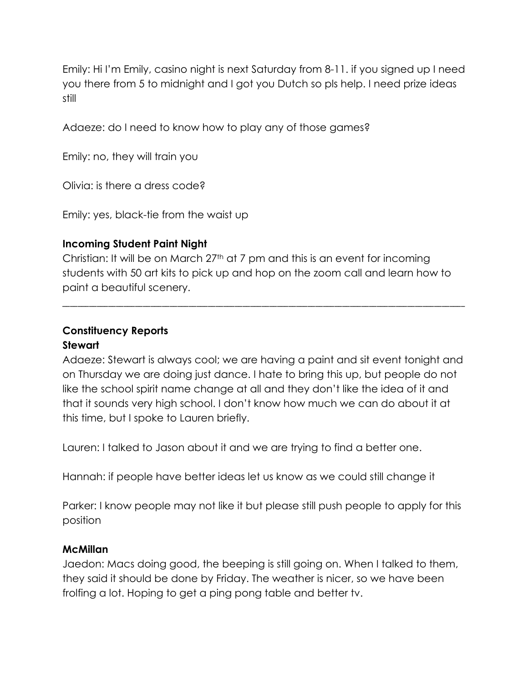Emily: Hi I'm Emily, casino night is next Saturday from 8-11. if you signed up I need you there from 5 to midnight and I got you Dutch so pls help. I need prize ideas still

Adaeze: do I need to know how to play any of those games?

Emily: no, they will train you

Olivia: is there a dress code?

Emily: yes, black-tie from the waist up

#### **Incoming Student Paint Night**

Christian: It will be on March 27th at 7 pm and this is an event for incoming students with 50 art kits to pick up and hop on the zoom call and learn how to paint a beautiful scenery.

\_\_\_\_\_\_\_\_\_\_\_\_\_\_\_\_\_\_\_\_\_\_\_\_\_\_\_\_\_\_\_\_\_\_\_\_\_\_\_\_\_\_\_\_\_\_\_\_\_\_\_\_\_\_\_\_\_\_\_\_\_\_\_\_\_\_\_\_\_\_\_\_\_\_\_\_\_\_\_\_\_\_\_\_\_\_\_\_\_\_\_\_\_\_\_\_\_\_\_\_\_\_\_\_\_

### **Constituency Reports Stewart**

Adaeze: Stewart is always cool; we are having a paint and sit event tonight and on Thursday we are doing just dance. I hate to bring this up, but people do not like the school spirit name change at all and they don't like the idea of it and that it sounds very high school. I don't know how much we can do about it at this time, but I spoke to Lauren briefly.

Lauren: I talked to Jason about it and we are trying to find a better one.

Hannah: if people have better ideas let us know as we could still change it

Parker: I know people may not like it but please still push people to apply for this position

#### **McMillan**

Jaedon: Macs doing good, the beeping is still going on. When I talked to them, they said it should be done by Friday. The weather is nicer, so we have been frolfing a lot. Hoping to get a ping pong table and better tv.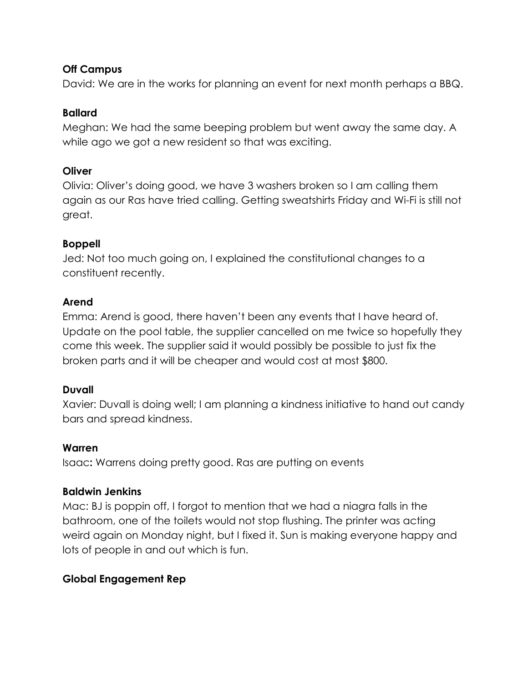## **Off Campus**

David: We are in the works for planning an event for next month perhaps a BBQ.

## **Ballard**

Meghan: We had the same beeping problem but went away the same day. A while ago we got a new resident so that was exciting.

### **Oliver**

Olivia: Oliver's doing good, we have 3 washers broken so I am calling them again as our Ras have tried calling. Getting sweatshirts Friday and Wi-Fi is still not great.

# **Boppell**

Jed: Not too much going on, I explained the constitutional changes to a constituent recently.

## **Arend**

Emma: Arend is good, there haven't been any events that I have heard of. Update on the pool table, the supplier cancelled on me twice so hopefully they come this week. The supplier said it would possibly be possible to just fix the broken parts and it will be cheaper and would cost at most \$800.

# **Duvall**

Xavier: Duvall is doing well; I am planning a kindness initiative to hand out candy bars and spread kindness.

#### **Warren**

Isaac**:** Warrens doing pretty good. Ras are putting on events

# **Baldwin Jenkins**

Mac: BJ is poppin off, I forgot to mention that we had a niagra falls in the bathroom, one of the toilets would not stop flushing. The printer was acting weird again on Monday night, but I fixed it. Sun is making everyone happy and lots of people in and out which is fun.

# **Global Engagement Rep**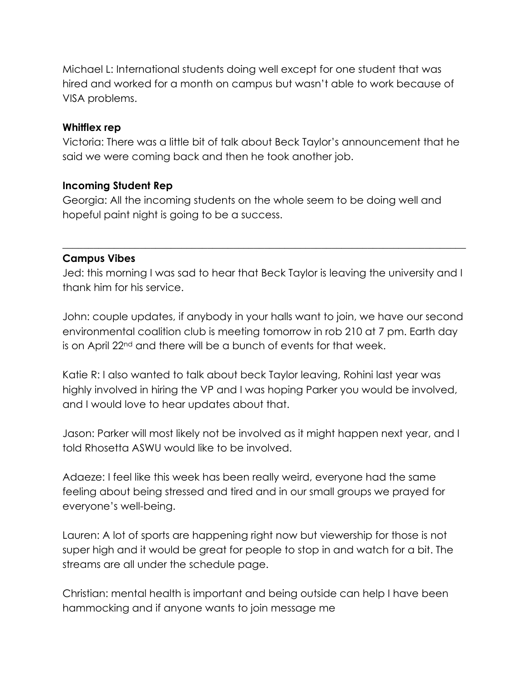Michael L: International students doing well except for one student that was hired and worked for a month on campus but wasn't able to work because of VISA problems.

#### **Whitflex rep**

Victoria: There was a little bit of talk about Beck Taylor's announcement that he said we were coming back and then he took another job.

#### **Incoming Student Rep**

Georgia: All the incoming students on the whole seem to be doing well and hopeful paint night is going to be a success.

#### **Campus Vibes**

Jed: this morning I was sad to hear that Beck Taylor is leaving the university and I thank him for his service.

 $\_$  , and the set of the set of the set of the set of the set of the set of the set of the set of the set of the set of the set of the set of the set of the set of the set of the set of the set of the set of the set of th

John: couple updates, if anybody in your halls want to join, we have our second environmental coalition club is meeting tomorrow in rob 210 at 7 pm. Earth day is on April 22<sup>nd</sup> and there will be a bunch of events for that week.

Katie R: I also wanted to talk about beck Taylor leaving, Rohini last year was highly involved in hiring the VP and I was hoping Parker you would be involved, and I would love to hear updates about that.

Jason: Parker will most likely not be involved as it might happen next year, and I told Rhosetta ASWU would like to be involved.

Adaeze: I feel like this week has been really weird, everyone had the same feeling about being stressed and tired and in our small groups we prayed for everyone's well-being.

Lauren: A lot of sports are happening right now but viewership for those is not super high and it would be great for people to stop in and watch for a bit. The streams are all under the schedule page.

Christian: mental health is important and being outside can help I have been hammocking and if anyone wants to join message me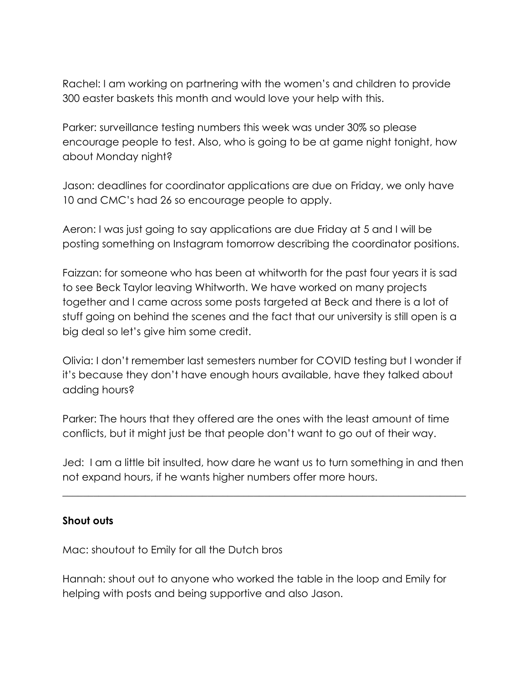Rachel: I am working on partnering with the women's and children to provide 300 easter baskets this month and would love your help with this.

Parker: surveillance testing numbers this week was under 30% so please encourage people to test. Also, who is going to be at game night tonight, how about Monday night?

Jason: deadlines for coordinator applications are due on Friday, we only have 10 and CMC's had 26 so encourage people to apply.

Aeron: I was just going to say applications are due Friday at 5 and I will be posting something on Instagram tomorrow describing the coordinator positions.

Faizzan: for someone who has been at whitworth for the past four years it is sad to see Beck Taylor leaving Whitworth. We have worked on many projects together and I came across some posts targeted at Beck and there is a lot of stuff going on behind the scenes and the fact that our university is still open is a big deal so let's give him some credit.

Olivia: I don't remember last semesters number for COVID testing but I wonder if it's because they don't have enough hours available, have they talked about adding hours?

Parker: The hours that they offered are the ones with the least amount of time conflicts, but it might just be that people don't want to go out of their way.

Jed: I am a little bit insulted, how dare he want us to turn something in and then not expand hours, if he wants higher numbers offer more hours.

 $\_$  , and the set of the set of the set of the set of the set of the set of the set of the set of the set of the set of the set of the set of the set of the set of the set of the set of the set of the set of the set of th

#### **Shout outs**

Mac: shoutout to Emily for all the Dutch bros

Hannah: shout out to anyone who worked the table in the loop and Emily for helping with posts and being supportive and also Jason.